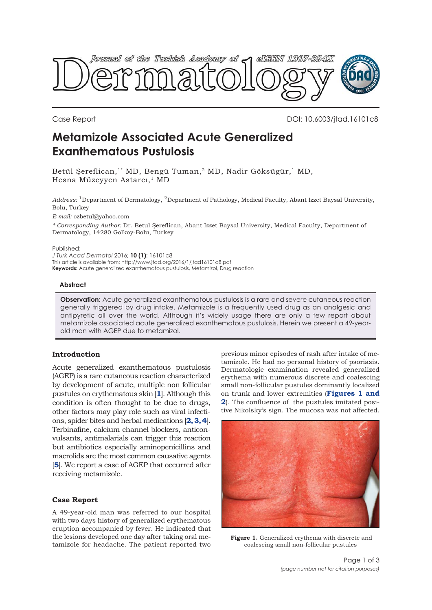

Case Report DOI: 10.6003/jtad.16101c8

# **Metamizole Associated Acute Generalized Exanthematous Pustulosis**

Betül Şereflican,<sup>1\*</sup> MD, Bengü Tuman,<sup>2</sup> MD, Nadir Göksügür,<sup>1</sup> MD, Hesna Müzeyyen Astarcı,<sup>1</sup> MD

*Address:* 1Department of Dermatology, 2Department of Pathology, Medical Faculty, Abant Izzet Baysal University, Bolu, Turkey

*E-mail:* ozbetul@yahoo.com

*\* Corresponding Author:* Dr. Betul Şereflican, Abant Izzet Baysal University, Medical Faculty, Department of Dermatology, 14280 Golkoy-Bolu, Turkey

#### Published:

*J Turk Acad Dermatol* 2016; **10 (1)**: 16101c8 This article is available from: http://www.jtad.org/2016/1/jtad16101c8.pdf

**Keywords:** Acute generalized exanthematous pustulosis, Metamizol, Drug reaction

## **Abstract**

**Observation:** Acute generalized exanthematous pustulosis is a rare and severe cutaneous reaction generally triggered by drug intake. Metamizole is a frequently used drug as an analgesic and antipyretic all over the world. Although it's widely usage there are only a few report about metamizole associated acute generalized exanthematous pustulosis. Herein we present a 49-yearold man with AGEP due to metamizol.

# **Introduction**

Acute generalized exanthematous pustulosis (AGEP) is a rare cutaneous reaction characterized by development of acute, multiple non follicular pustules on erythematous skin [**[1](#page-1-0)**]. Although this condition is often thought to be due to drugs, other factors may play role such as viral infections, spider bites and herbal medications [**[2, 3, 4](#page-1-0)**]. Terbinafine, calcium channel blockers, anticonvulsants, antimalarials can trigger this reaction but antibiotics especially aminopenicillins and macrolids are the most common causative agents [[5](#page-1-0)]. We report a case of AGEP that occurred after receiving metamizole.

## **Case Report**

A 49-year-old man was referred to our hospital with two days history of generalized erythematous eruption accompanied by fever. He indicated that the lesions developed one day after taking oral metamizole for headache. The patient reported two

previous minor episodes of rash after intake of metamizole. He had no personal history of psoriasis. Dermatologic examination revealed generalized erythema with numerous discrete and coalescing small non-follicular pustules dominantly localized on trunk and lower extremities (**Figures 1 and [2](#page-1-0)**). The confluence of the pustules imitated positive Nikolsky's sign. The mucosa was not affected.



**Figure 1.** Generalized erythema with discrete and coalescing small non-follicular pustules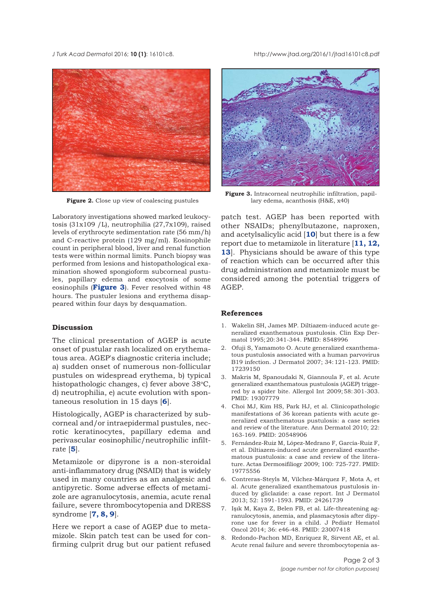<span id="page-1-0"></span>*J Turk Acad Dermato*l 2016; **10 (1)**: 16101c8. http://www.jtad.org/2016/1/jtad16101c8.pdf



Laboratory investigations showed marked leukocytosis (31x109 /L), neutrophilia (27,7x109), raised levels of erythrocyte sedimentation rate (56 mm/h) and C-reactive protein (129 mg/ml). Eosinophile count in peripheral blood, liver and renal function tests were within normal limits. Punch biopsy was performed from lesions and histopathological examination showed spongioform subcorneal pustules, papillary edema and exocytosis of some eosinophils (**Figure 3**). Fever resolved within 48 hours. The pustuler lesions and erythema disappeared within four days by desquamation.

# **Discussion**

The clinical presentation of AGEP is acute onset of pustular rash localized on erythematous area. AGEP's diagnostic criteria include; a) sudden onset of numerous non-follicular pustules on widespread erythema, b) typical histopathologic changes, c) fever above 38°C, d) neutrophilia, e) acute evolution with spontaneous resolution in 15 days [**6**].

Histologically, AGEP is characterized by subcorneal and/or intraepidermal pustules, necrotic keratinocytes, papillary edema and perivascular eosinophilic/neutrophilic infiltrate [**5**].

Metamizole or dipyrone is a non-steroidal anti-inflammatory drug (NSAID) that is widely used in many countries as an analgesic and antipyretic. Some adverse effects of metamizole are agranulocytosis, anemia, acute renal failure, severe thrombocytopenia and DRESS syndrome [**7, 8, 9**].

Here we report a case of AGEP due to metamizole. Skin patch test can be used for confirming culprit drug but our patient refused



**Figure 3.** Intracorneal neutrophilic infiltration, papil-**Figure 2.** Close up view of coalescing pustules lary edema, acanthosis (H&E, x40)

patch test. AGEP has been reported with other NSAIDs; phenylbutazone, naproxen, and acetylsalicylic acid [**10**] but there is a few report due to metamizole in literature [**11, [12,](#page-2-0) [13](#page-2-0)**]. Physicians should be aware of this type of reaction which can be occurred after this drug administration and metamizole must be considered among the potential triggers of AGEP.

# **References**

- 1. Wakelin SH, James MP. Diltiazem-induced acute generalized exanthematous pustulosis. Clin Exp Dermatol 1995; 20: 341-344. PMID: 8548996
- 2. Ofuji S, Yamamoto O. Acute generalized exanthematous pustulosis associated with a human parvovirus B19 infection. J Dermatol 2007; 34: 121-123. PMID: 17239150
- 3. Makris M, Spanoudaki N, Giannoula F, et al. Acute generalized exanthematous pustulosis (AGEP) triggered by a spider bite. Allergol Int 2009; 58: 301-303. PMID: 19307779
- 4. Choi MJ, Kim HS, Park HJ, et al. Clinicopathologic manifestations of 36 korean patients with acute generalized exanthematous pustulosis: a case series and review of the literature. Ann Dermatol 2010; 22: 163-169. PMID: 20548906
- 5. Fernández-Ruiz M, López-Medrano F, García-Ruiz F, et al. Diltiazem-induced acute generalized exanthematous pustulosis: a case and review of the literature. Actas Dermosifiliogr 2009; 100: 725-727. PMID: 19775556
- 6. Contreras-Steyls M, Vílchez-Márquez F, Mota A, et al. Acute generalized exanthematous pustulosis induced by gliclazide: a case report. Int J Dermatol 2013; 52: 1591-1593. PMID: 24261739
- 7. Işık M, Kaya Z, Belen FB, et al. Life-threatening agranulocytosis, anemia, and plasmacytosis after dipyrone use for fever in a child. J Pediatr Hematol Oncol 2014; 36: e46-48. PMID: 23007418
- 8. Redondo-Pachon MD, Enriquez R, Sirvent AE, et al. Acute renal failure and severe thrombocytopenia as-